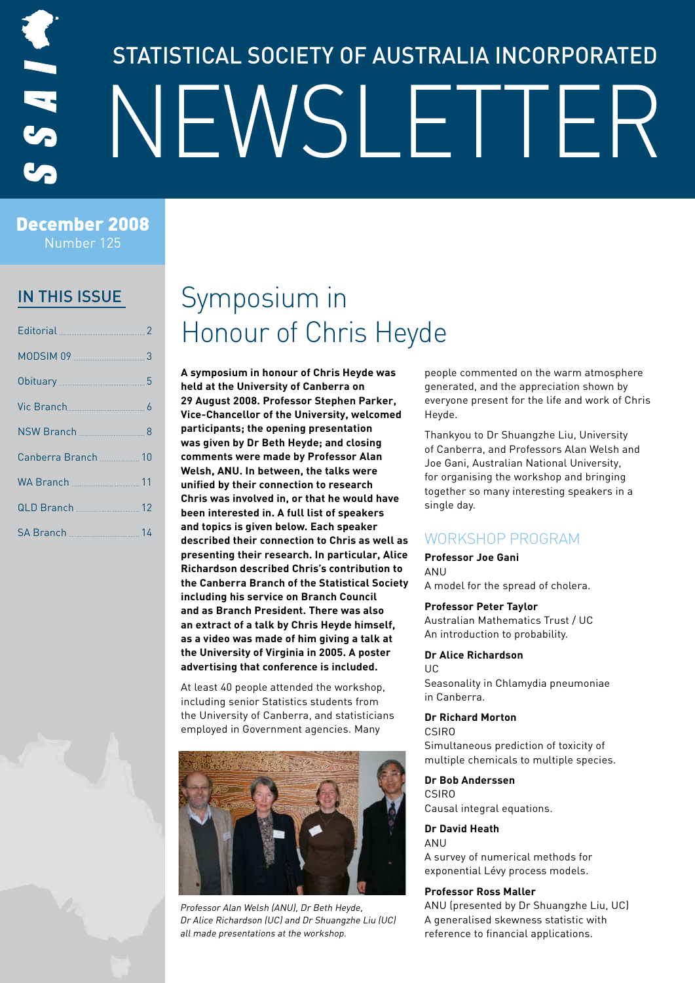# STATISTICAL SOCIETY OF AUSTRALIA INCORPORATED NEWSLETTER

December 2008 Number 125

### In this issue

| MODSIM 09 3 |  |
|-------------|--|
|             |  |
|             |  |
|             |  |
|             |  |
|             |  |
|             |  |
|             |  |

## Symposium in Honour of Chris Heyde

**A symposium in honour of Chris Heyde was held at the University of Canberra on 29 August 2008. Professor Stephen Parker, Vice-Chancellor of the University, welcomed participants; the opening presentation was given by Dr Beth Heyde; and closing comments were made by Professor Alan Welsh, ANU. In between, the talks were unified by their connection to research Chris was involved in, or that he would have been interested in. A full list of speakers and topics is given below. Each speaker described their connection to Chris as well as presenting their research. In particular, Alice Richardson described Chris's contribution to the Canberra Branch of the Statistical Society including his service on Branch Council and as Branch President. There was also an extract of a talk by Chris Heyde himself, as a video was made of him giving a talk at the University of Virginia in 2005. A poster advertising that conference is included.**

At least 40 people attended the workshop, including senior Statistics students from the University of Canberra, and statisticians employed in Government agencies. Many



Professor Alan Welsh (ANU), Dr Beth Heyde, Dr Alice Richardson (UC) and Dr Shuangzhe Liu (UC) all made presentations at the workshop.

people commented on the warm atmosphere generated, and the appreciation shown by everyone present for the life and work of Chris Heyde.

Thankyou to Dr Shuangzhe Liu, University of Canberra, and Professors Alan Welsh and Joe Gani, Australian National University, for organising the workshop and bringing together so many interesting speakers in a single day.

### Workshop program

### **Professor Joe Gani**

ANU

A model for the spread of cholera.

### **Professor Peter Taylor**

Australian Mathematics Trust / UC An introduction to probability.

#### **Dr Alice Richardson** UC

Seasonality in Chlamydia pneumoniae in Canberra.

### **Dr Richard Morton**

CSIRO

Simultaneous prediction of toxicity of multiple chemicals to multiple species.

#### **Dr Bob Anderssen** CSIRO

Causal integral equations.

### **Dr David Heath**

ANU

A survey of numerical methods for exponential Lévy process models.

### **Professor Ross Maller**

ANU (presented by Dr Shuangzhe Liu, UC) A generalised skewness statistic with reference to financial applications.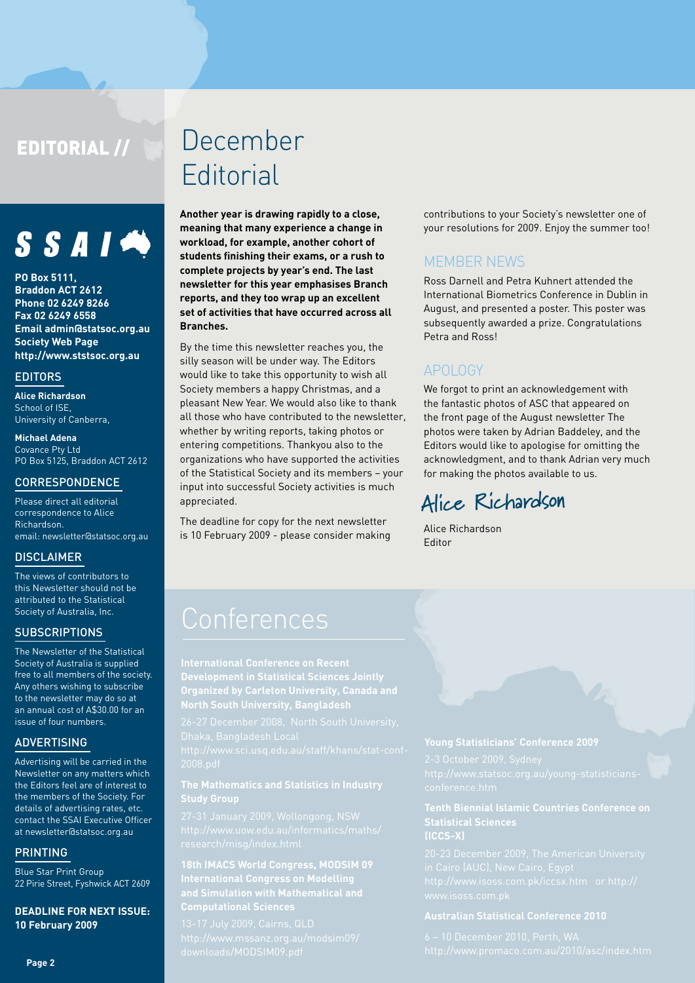### EDITORIAL //



**PO Box 5111, Braddon ACT 2612 Phone 02 6249 8266 Fax 02 6249 6558 Email admin@statsoc.org.au Society Web Page http://www.ststsoc.org.au**

### **EDITORS**

**Alice Richardson** School of ISE. University of Canberra,

**Michael Adena** Covance Pty Ltd PO Box 5125, Braddon ACT 2612

### Correspondence

Please direct all editorial correspondence to Alice Richardson. email: newsletter@statsoc.org.au

### **DISCLAIMER**

The views of contributors to this Newsletter should not be attributed to the Statistical Society of Australia, Inc.

### **SUBSCRIPTIONS**

The Newsletter of the Statistical Society of Australia is supplied free to all members of the society. Any others wishing to subscribe to the newsletter may do so at an annual cost of A\$30.00 for an issue of four numbers.

### **ADVERTISING**

Advertising will be carried in the Newsletter on any matters which the Editors feel are of interest to the members of the Society. For details of advertising rates, etc. contact the SSAI Executive Officer at newsletter@statsoc.org.au

### **PRINTING**

Blue Star Print Group 22 Pirie Street, Fyshwick ACT 2609

**DEADLINE FOR NEXT ISSUE: 10 February 2009**

## December **Editorial**

**Another year is drawing rapidly to a close, meaning that many experience a change in workload, for example, another cohort of students finishing their exams, or a rush to complete projects by year's end. The last newsletter for this year emphasises Branch reports, and they too wrap up an excellent set of activities that have occurred across all Branches.** 

By the time this newsletter reaches you, the silly season will be under way. The Editors would like to take this opportunity to wish all Society members a happy Christmas, and a pleasant New Year. We would also like to thank all those who have contributed to the newsletter, whether by writing reports, taking photos or entering competitions. Thankyou also to the organizations who have supported the activities of the Statistical Society and its members – your input into successful Society activities is much appreciated.

The deadline for copy for the next newsletter is 10 February 2009 - please consider making contributions to your Society's newsletter one of your resolutions for 2009. Enjoy the summer too!

### **MEMBER NEWS**

Ross Darnell and Petra Kuhnert attended the International Biometrics Conference in Dublin in August, and presented a poster. This poster was subsequently awarded a prize. Congratulations Petra and Ross!

### APOLOGY

We forgot to print an acknowledgement with the fantastic photos of ASC that appeared on the front page of the August newsletter The photos were taken by Adrian Baddeley, and the Editors would like to apologise for omitting the acknowledgment, and to thank Adrian very much for making the photos available to us.

### **Alice Richardson**

Alice Richardson Editor

**Organized by Carleton University, Canada and** 

## **Study Group**

**Computational Sciences**

### **Statistical Sciences (ICCS-X)**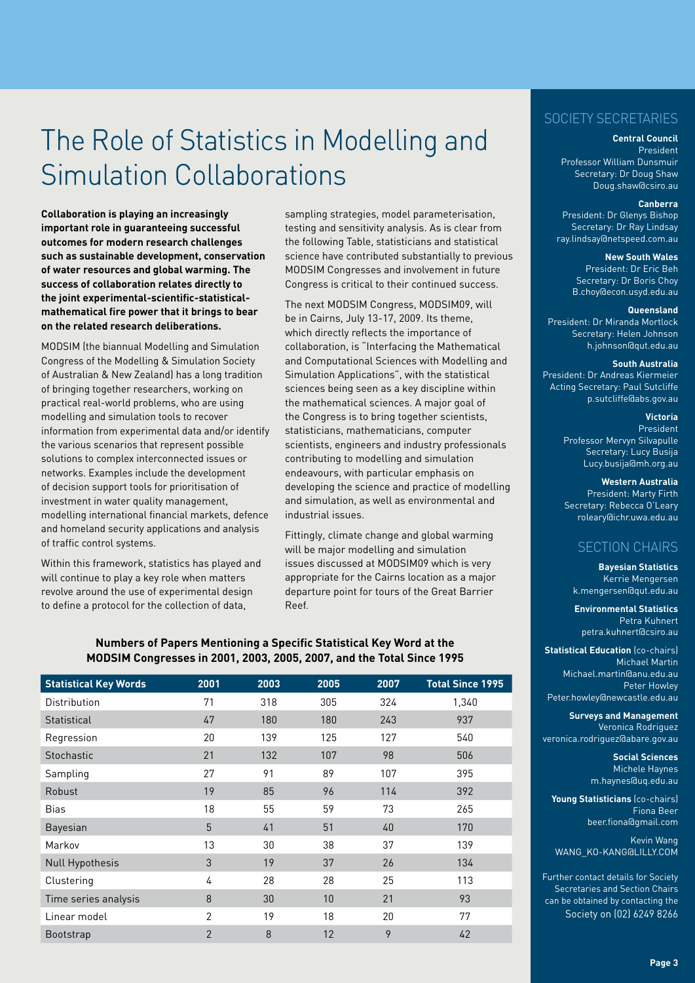## The Role of Statistics in Modelling and Simulation Collaborations

**Collaboration is playing an increasingly important role in guaranteeing successful outcomes for modern research challenges such as sustainable development, conservation of water resources and global warming. The success of collaboration relates directly to the joint experimental-scientific-statisticalmathematical fire power that it brings to bear on the related research deliberations.**

MODSIM (the biannual Modelling and Simulation Congress of the Modelling & Simulation Society of Australian & New Zealand) has a long tradition of bringing together researchers, working on practical real-world problems, who are using modelling and simulation tools to recover information from experimental data and/or identify the various scenarios that represent possible solutions to complex interconnected issues or networks. Examples include the development of decision support tools for prioritisation of investment in water quality management, modelling international financial markets, defence and homeland security applications and analysis of traffic control systems.

Within this framework, statistics has played and will continue to play a key role when matters revolve around the use of experimental design to define a protocol for the collection of data,

sampling strategies, model parameterisation, testing and sensitivity analysis. As is clear from the following Table, statisticians and statistical science have contributed substantially to previous MODSIM Congresses and involvement in future Congress is critical to their continued success.

The next MODSIM Congress, MODSIM09, will be in Cairns, July 13-17, 2009. Its theme, which directly reflects the importance of collaboration, is "Interfacing the Mathematical and Computational Sciences with Modelling and Simulation Applications", with the statistical sciences being seen as a key discipline within the mathematical sciences. A major goal of the Congress is to bring together scientists, statisticians, mathematicians, computer scientists, engineers and industry professionals contributing to modelling and simulation endeavours, with particular emphasis on developing the science and practice of modelling and simulation, as well as environmental and industrial issues.

Fittingly, climate change and global warming will be major modelling and simulation issues discussed at MODSIM09 which is very appropriate for the Cairns location as a major departure point for tours of the Great Barrier Reef.

### **Numbers of Papers Mentioning a Specific Statistical Key Word at the MODSIM Congresses in 2001, 2003, 2005, 2007, and the Total Since 1995**

| <b>Statistical Key Words</b> | 2001           | 2003 | 2005 | 2007 | <b>Total Since 1995</b> |
|------------------------------|----------------|------|------|------|-------------------------|
| Distribution                 | 71             | 318  | 305  | 324  | 1,340                   |
| Statistical                  | 47             | 180  | 180  | 243  | 937                     |
| Regression                   | 20             | 139  | 125  | 127  | 540                     |
| Stochastic                   | 21             | 132  | 107  | 98   | 506                     |
| Sampling                     | 27             | 91   | 89   | 107  | 395                     |
| Robust                       | 19             | 85   | 96   | 114  | 392                     |
| <b>Bias</b>                  | 18             | 55   | 59   | 73   | 265                     |
| Bayesian                     | 5              | 41   | 51   | 40   | 170                     |
| Markov                       | 13             | 30   | 38   | 37   | 139                     |
| <b>Null Hypothesis</b>       | 3              | 19   | 37   | 26   | 134                     |
| Clustering                   | 4              | 28   | 28   | 25   | 113                     |
| Time series analysis         | 8              | 30   | 10   | 21   | 93                      |
| Linear model                 | 2              | 19   | 18   | 20   | 77                      |
| <b>Bootstrap</b>             | $\overline{2}$ | 8    | 12   | 9    | 42                      |

### Society Secretaries

#### **Central Council**

President Professor William Dunsmuir Secretary: Dr Doug Shaw Doug.shaw@csiro.au

#### **Canberra**

President: Dr Glenys Bishop Secretary: Dr Ray Lindsay ray.lindsay@netspeed.com.au

### **New South Wales**

President: Dr Eric Beh Secretary: Dr Boris Choy B.choy@econ.usyd.edu.au

#### **Queensland**

President: Dr Miranda Mortlock Secretary: Helen Johnson h.johnson@qut.edu.au

#### **South Australia**

President: Dr Andreas Kiermeier Acting Secretary: Paul Sutcliffe p.sutcliffe@abs.gov.au

### **Victoria**

President Professor Mervyn Silvapulle Secretary: Lucy Busija Lucy.busija@mh.org.au

#### **Western Australia**

President: Marty Firth Secretary: Rebecca O'Leary roleary@ichr.uwa.edu.au

### Section Chairs

**Bayesian Statistics** Kerrie Mengersen k.mengersen@qut.edu.au

**Environmental Statistics** Petra Kuhnert petra.kuhnert@csiro.au

**Statistical Education** (co-chairs) Michael Martin Michael.martin@anu.edu.au Peter Howley Peter.howley@newcastle.edu.au

**Surveys and Management** Veronica Rodriguez veronica.rodriguez@abare.gov.au

> **Social Sciences** Michele Haynes m.haynes@uq.edu.au

**Young Statisticians** (co-chairs) Fiona Beer beer.fiona@gmail.com

Kevin Wang WANG\_KO-KANG@LILLY.COM

Further contact details for Society Secretaries and Section Chairs can be obtained by contacting the Society on (02) 6249 8266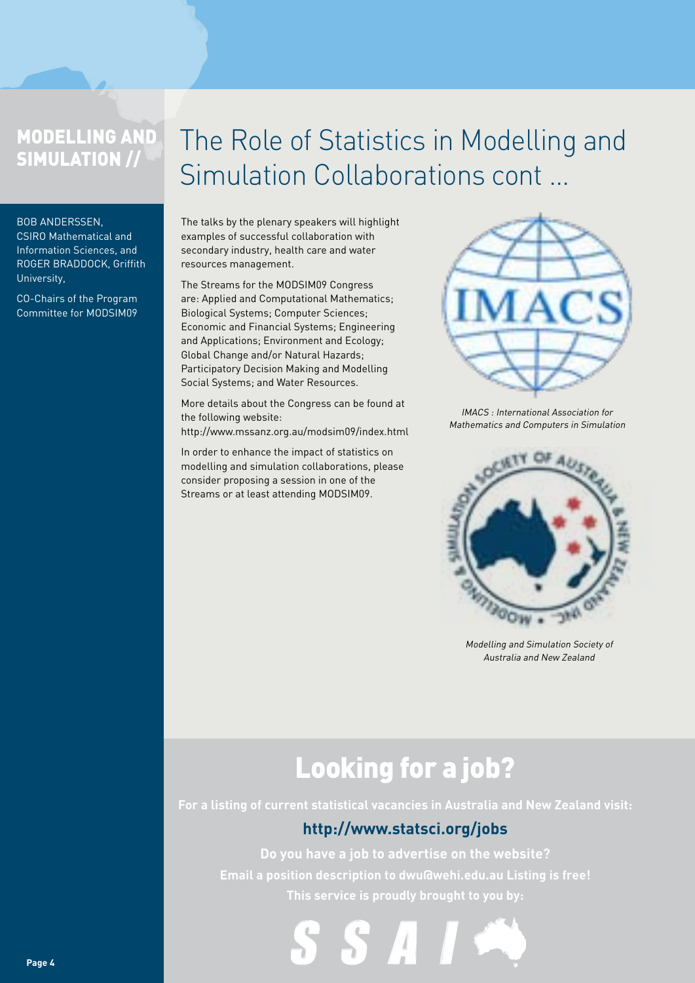## Modelling and Simulation //

#### Bob Anderssen,

CSIRO Mathematical and Information Sciences, and Roger Braddock, Griffith University,

CO-Chairs of the Program Committee for MODSIM09

## The Role of Statistics in Modelling and Simulation Collaborations cont ...

The talks by the plenary speakers will highlight examples of successful collaboration with secondary industry, health care and water resources management.

The Streams for the MODSIM09 Congress are: Applied and Computational Mathematics; Biological Systems; Computer Sciences; Economic and Financial Systems; Engineering and Applications; Environment and Ecology; Global Change and/or Natural Hazards; Participatory Decision Making and Modelling Social Systems; and Water Resources.

More details about the Congress can be found at the following website: http://www.mssanz.org.au/modsim09/index.html

In order to enhance the impact of statistics on modelling and simulation collaborations, please consider proposing a session in one of the Streams or at least attending MODSIM09.



IMACS : International Association for Mathematics and Computers in Simulation



Modelling and Simulation Society of Australia and New Zealand

## Looking for a job?

**For a listing of current statistical vacancies in Australia and New Zealand visit:**

### **http://www.statsci.org/jobs**

**Do you have a job to advertise on the website? Email a position description to dwu@wehi.edu.au Listing is free! This service is proudly brought to you by:**

S S A I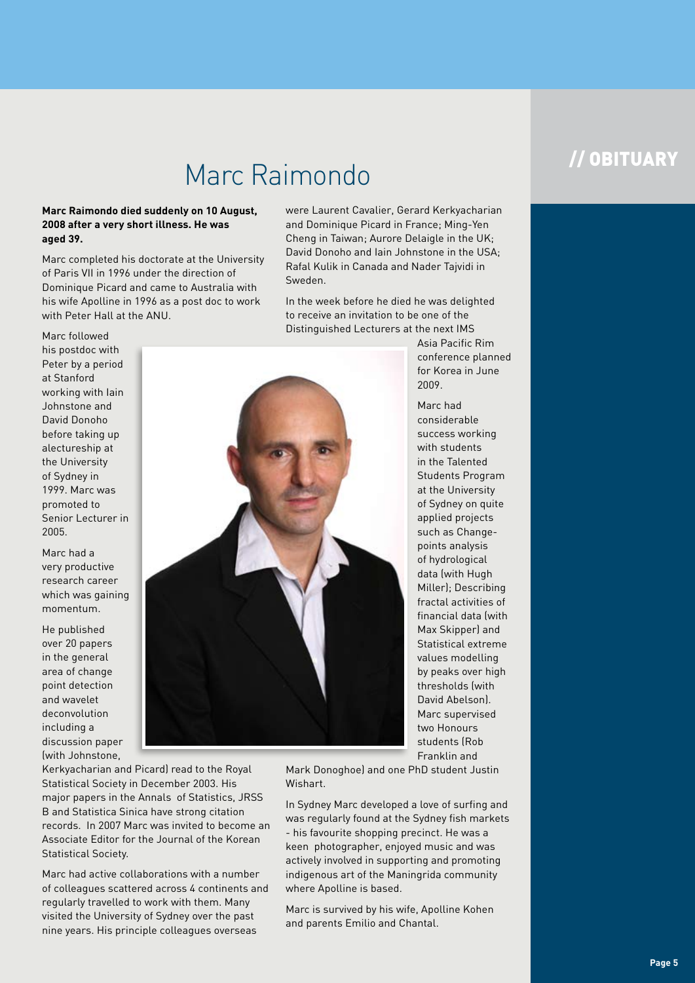## Marc Raimondo

### **Marc Raimondo died suddenly on 10 August, 2008 after a very short illness. He was aged 39.**

Marc completed his doctorate at the University of Paris VII in 1996 under the direction of Dominique Picard and came to Australia with his wife Apolline in 1996 as a post doc to work with Peter Hall at the ANU.

Marc followed his postdoc with Peter by a period at Stanford working with Iain Johnstone and David Donoho before taking up alectureship at the University of Sydney in 1999. Marc was promoted to Senior Lecturer in 2005.

Marc had a very productive research career which was gaining momentum.

He published over 20 papers in the general area of change point detection and wavelet deconvolution including a discussion paper (with Johnstone,

Kerkyacharian and Picard) read to the Royal Statistical Society in December 2003. His major papers in the Annals of Statistics, JRSS B and Statistica Sinica have strong citation records. In 2007 Marc was invited to become an Associate Editor for the Journal of the Korean Statistical Society.

Marc had active collaborations with a number of colleagues scattered across 4 continents and regularly travelled to work with them. Many visited the University of Sydney over the past nine years. His principle colleagues overseas

were Laurent Cavalier, Gerard Kerkyacharian and Dominique Picard in France; Ming-Yen Cheng in Taiwan; Aurore Delaigle in the UK; David Donoho and Iain Johnstone in the USA; Rafal Kulik in Canada and Nader Tajvidi in Sweden.

In the week before he died he was delighted to receive an invitation to be one of the Distinguished Lecturers at the next IMS



Asia Pacific Rim conference planned for Korea in June 2009.

Marc had considerable success working with students in the Talented Students Program at the University of Sydney on quite applied projects such as Changepoints analysis of hydrological data (with Hugh Miller); Describing fractal activities of financial data (with Max Skipper) and Statistical extreme values modelling by peaks over high thresholds (with David Abelson). Marc supervised two Honours students (Rob Franklin and

Mark Donoghoe) and one PhD student Justin Wishart.

In Sydney Marc developed a love of surfing and was regularly found at the Sydney fish markets - his favourite shopping precinct. He was a keen photographer, enjoyed music and was actively involved in supporting and promoting indigenous art of the Maningrida community where Apolline is based.

Marc is survived by his wife, Apolline Kohen and parents Emilio and Chantal.

## // obituary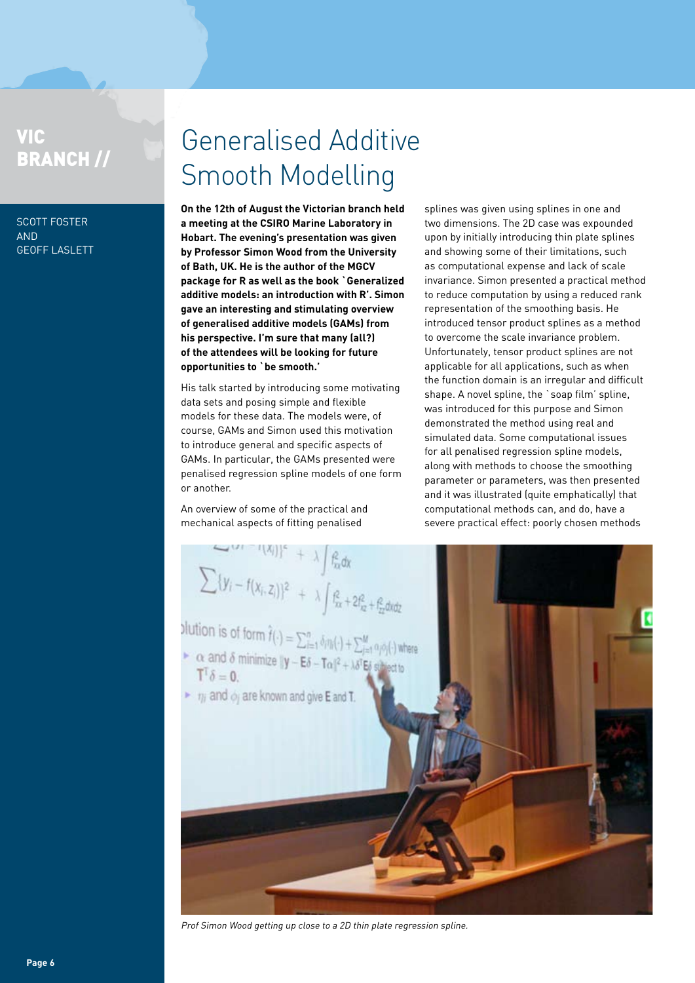## VIC Branch //

SCOTT FOSTER **AND** Geoff Laslett

## Generalised Additive Smooth Modelling

**On the 12th of August the Victorian branch held a meeting at the CSIRO Marine Laboratory in Hobart. The evening's presentation was given by Professor Simon Wood from the University of Bath, UK. He is the author of the MGCV package for R as well as the book `Generalized additive models: an introduction with R'. Simon gave an interesting and stimulating overview of generalised additive models (GAMs) from his perspective. I'm sure that many (all?) of the attendees will be looking for future opportunities to `be smooth.'**

His talk started by introducing some motivating data sets and posing simple and flexible models for these data. The models were, of course, GAMs and Simon used this motivation to introduce general and specific aspects of GAMs. In particular, the GAMs presented were penalised regression spline models of one form or another.

An overview of some of the practical and

splines was given using splines in one and two dimensions. The 2D case was expounded upon by initially introducing thin plate splines and showing some of their limitations, such as computational expense and lack of scale invariance. Simon presented a practical method to reduce computation by using a reduced rank representation of the smoothing basis. He introduced tensor product splines as a method to overcome the scale invariance problem. Unfortunately, tensor product splines are not applicable for all applications, such as when the function domain is an irregular and difficult shape. A novel spline, the `soap film' spline, was introduced for this purpose and Simon demonstrated the method using real and simulated data. Some computational issues for all penalised regression spline models, along with methods to choose the smoothing parameter or parameters, was then presented and it was illustrated (quite emphatically) that computational methods can, and do, have a severe practical effect: poorly chosen methods



Prof Simon Wood getting up close to a 2D thin plate regression spline.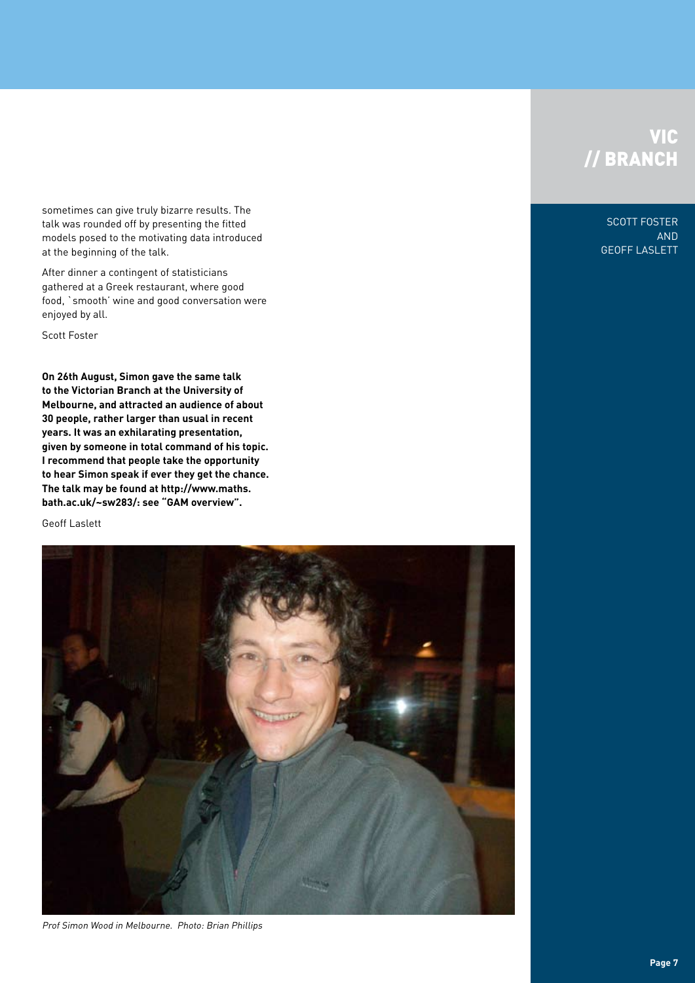### **VIC** // BRANCH

sometimes can give truly bizarre results. The talk was rounded off by presenting the fitted models posed to the motivating data introduced at the beginning of the talk.

After dinner a contingent of statisticians gathered at a Greek restaurant, where good food, `smooth' wine and good conversation were enjoyed by all.

Scott Foster

**On 26th August, Simon gave the same talk to the Victorian Branch at the University of Melbourne, and attracted an audience of about 30 people, rather larger than usual in recent years. It was an exhilarating presentation, given by someone in total command of his topic. I recommend that people take the opportunity to hear Simon speak if ever they get the chance. The talk may be found at http://www.maths. bath.ac.uk/~sw283/: see "GAM overview".** 

Geoff Laslett



Prof Simon Wood in Melbourne. Photo: Brian Phillips

Scott Foster and Geoff Laslett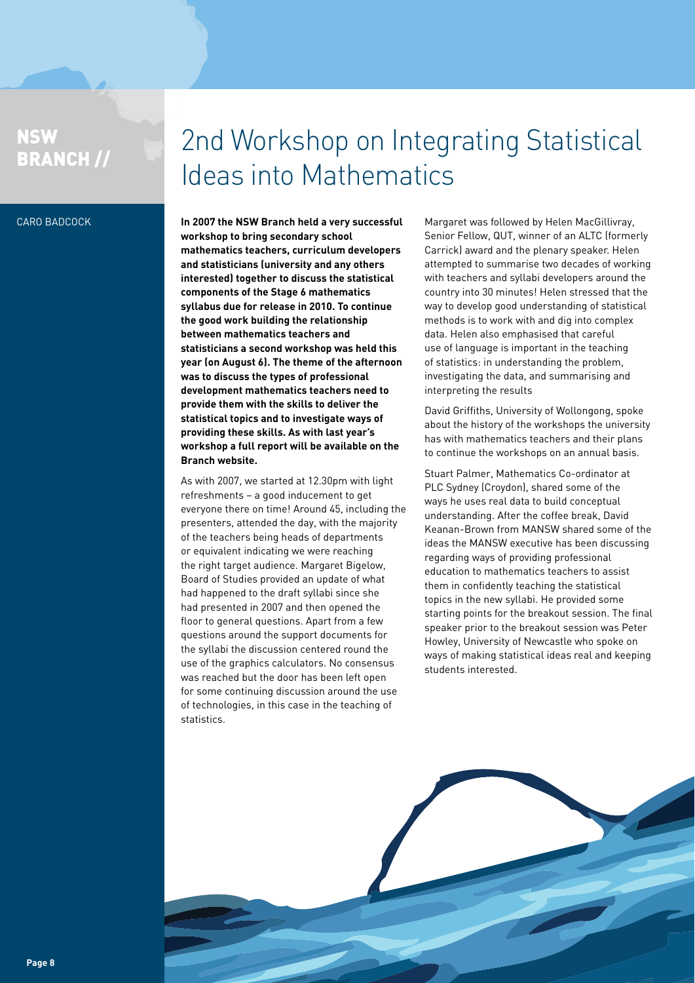### **NSW** BRANCH //

## 2nd Workshop on Integrating Statistical Ideas into Mathematics

### Caro Badcock

**In 2007 the NSW Branch held a very successful workshop to bring secondary school mathematics teachers, curriculum developers and statisticians (university and any others interested) together to discuss the statistical components of the Stage 6 mathematics syllabus due for release in 2010. To continue the good work building the relationship between mathematics teachers and statisticians a second workshop was held this year (on August 6). The theme of the afternoon was to discuss the types of professional development mathematics teachers need to provide them with the skills to deliver the statistical topics and to investigate ways of providing these skills. As with last year's workshop a full report will be available on the Branch website.**

As with 2007, we started at 12.30pm with light refreshments – a good inducement to get everyone there on time! Around 45, including the presenters, attended the day, with the majority of the teachers being heads of departments or equivalent indicating we were reaching the right target audience. Margaret Bigelow, Board of Studies provided an update of what had happened to the draft syllabi since she had presented in 2007 and then opened the floor to general questions. Apart from a few questions around the support documents for the syllabi the discussion centered round the use of the graphics calculators. No consensus was reached but the door has been left open for some continuing discussion around the use of technologies, in this case in the teaching of statistics.

Margaret was followed by Helen MacGillivray, Senior Fellow, QUT, winner of an ALTC (formerly Carrick) award and the plenary speaker. Helen attempted to summarise two decades of working with teachers and syllabi developers around the country into 30 minutes! Helen stressed that the way to develop good understanding of statistical methods is to work with and dig into complex data. Helen also emphasised that careful use of language is important in the teaching of statistics: in understanding the problem, investigating the data, and summarising and interpreting the results

David Griffiths, University of Wollongong, spoke about the history of the workshops the university has with mathematics teachers and their plans to continue the workshops on an annual basis.

Stuart Palmer, Mathematics Co-ordinator at PLC Sydney (Croydon), shared some of the ways he uses real data to build conceptual understanding. After the coffee break, David Keanan-Brown from MANSW shared some of the ideas the MANSW executive has been discussing regarding ways of providing professional education to mathematics teachers to assist them in confidently teaching the statistical topics in the new syllabi. He provided some starting points for the breakout session. The final speaker prior to the breakout session was Peter Howley, University of Newcastle who spoke on ways of making statistical ideas real and keeping students interested.

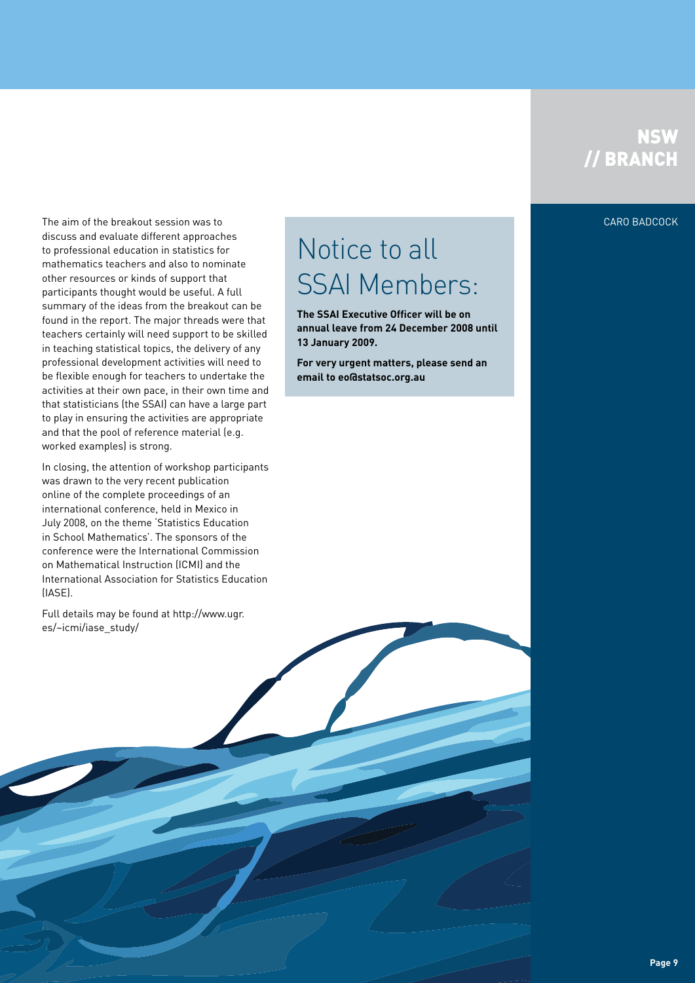### **NSW** // BRANCH

The aim of the breakout session was to Caro Badcock Caro Badcock Caro Badcock Caro Badcock Caro Badcock Caro Badcock discuss and evaluate different approaches to professional education in statistics for mathematics teachers and also to nominate other resources or kinds of support that participants thought would be useful. A full summary of the ideas from the breakout can be found in the report. The major threads were that teachers certainly will need support to be skilled in teaching statistical topics, the delivery of any professional development activities will need to be flexible enough for teachers to undertake the activities at their own pace, in their own time and that statisticians (the SSAI) can have a large part to play in ensuring the activities are appropriate and that the pool of reference material (e.g. worked examples) is strong.

In closing, the attention of workshop participants was drawn to the very recent publication online of the complete proceedings of an international conference, held in Mexico in July 2008, on the theme 'Statistics Education in School Mathematics'. The sponsors of the conference were the International Commission on Mathematical Instruction (ICMI) and the International Association for Statistics Education (IASE).

Full details may be found at http://www.ugr. es/~icmi/iase\_study/

## Notice to all SSAI Members:

**The SSAI Executive Officer will be on annual leave from 24 December 2008 until 13 January 2009.**

**For very urgent matters, please send an email to eo@statsoc.org.au**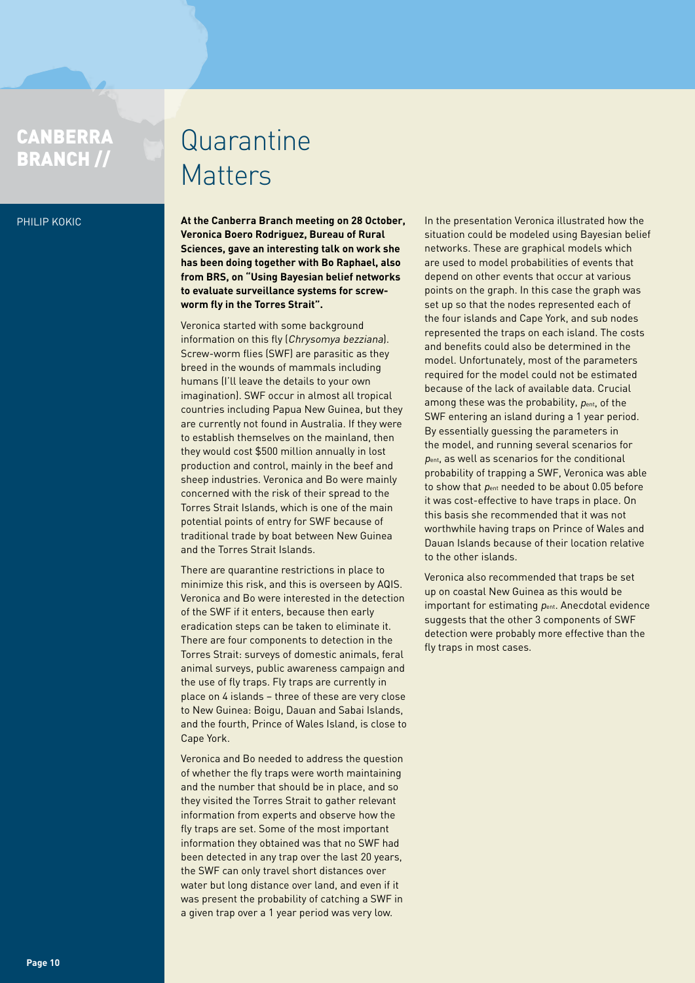## **CANBERRA**

#### Philip Kokic

## CANBERRA Quarantine Matters

**At the Canberra Branch meeting on 28 October, Veronica Boero Rodriguez, Bureau of Rural Sciences, gave an interesting talk on work she has been doing together with Bo Raphael, also from BRS, on "Using Bayesian belief networks to evaluate surveillance systems for screwworm fly in the Torres Strait".**

Veronica started with some background information on this fly (Chrysomya bezziana). Screw-worm flies (SWF) are parasitic as they breed in the wounds of mammals including humans (I'll leave the details to your own imagination). SWF occur in almost all tropical countries including Papua New Guinea, but they are currently not found in Australia. If they were to establish themselves on the mainland, then they would cost \$500 million annually in lost production and control, mainly in the beef and sheep industries. Veronica and Bo were mainly concerned with the risk of their spread to the Torres Strait Islands, which is one of the main potential points of entry for SWF because of traditional trade by boat between New Guinea and the Torres Strait Islands.

There are quarantine restrictions in place to minimize this risk, and this is overseen by AQIS. Veronica and Bo were interested in the detection of the SWF if it enters, because then early eradication steps can be taken to eliminate it. There are four components to detection in the Torres Strait: surveys of domestic animals, feral animal surveys, public awareness campaign and the use of fly traps. Fly traps are currently in place on 4 islands – three of these are very close to New Guinea: Boigu, Dauan and Sabai Islands, and the fourth, Prince of Wales Island, is close to Cape York.

Veronica and Bo needed to address the question of whether the fly traps were worth maintaining and the number that should be in place, and so they visited the Torres Strait to gather relevant information from experts and observe how the fly traps are set. Some of the most important information they obtained was that no SWF had been detected in any trap over the last 20 years, the SWF can only travel short distances over water but long distance over land, and even if it was present the probability of catching a SWF in a given trap over a 1 year period was very low.

In the presentation Veronica illustrated how the situation could be modeled using Bayesian belief networks. These are graphical models which are used to model probabilities of events that depend on other events that occur at various points on the graph. In this case the graph was set up so that the nodes represented each of the four islands and Cape York, and sub nodes represented the traps on each island. The costs and benefits could also be determined in the model. Unfortunately, most of the parameters required for the model could not be estimated because of the lack of available data. Crucial among these was the probability,  $p_{ent}$ , of the SWF entering an island during a 1 year period. By essentially guessing the parameters in the model, and running several scenarios for pent, as well as scenarios for the conditional probability of trapping a SWF, Veronica was able to show that pent needed to be about 0.05 before it was cost-effective to have traps in place. On this basis she recommended that it was not worthwhile having traps on Prince of Wales and Dauan Islands because of their location relative to the other islands.

Veronica also recommended that traps be set up on coastal New Guinea as this would be important for estimating  $p_{ent.}$  Anecdotal evidence suggests that the other 3 components of SWF detection were probably more effective than the fly traps in most cases.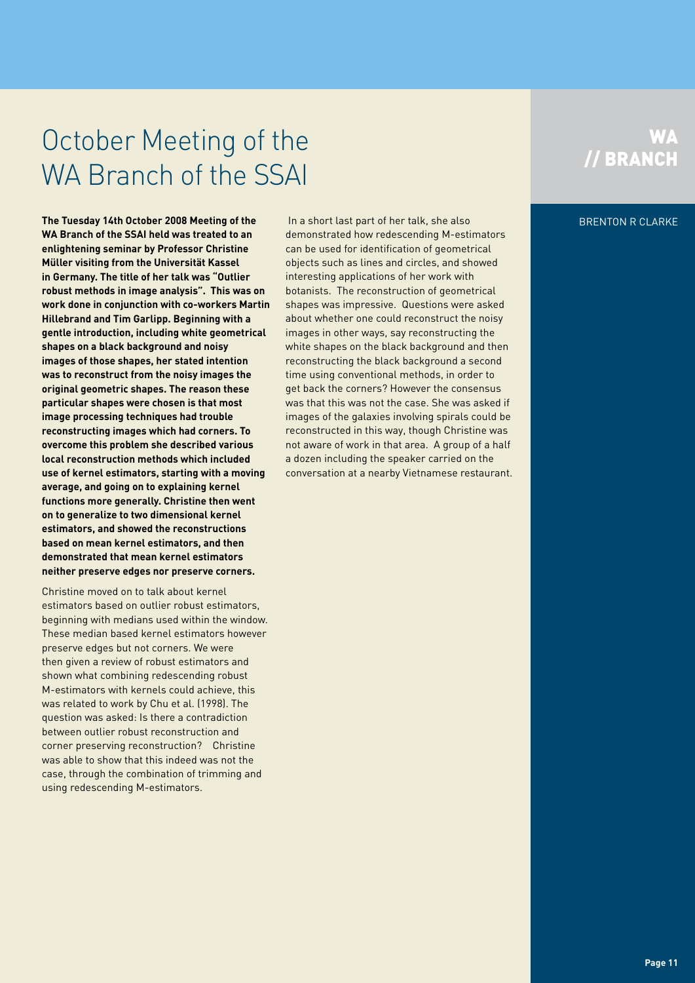## October Meeting of the WA Branch of the SSAI

**The Tuesday 14th October 2008 Meeting of the** *Brenton Reserved Machain Line Stephen Reserved Machain Reserved Ma* **WA Branch of the SSAI held was treated to an enlightening seminar by Professor Christine Müller visiting from the Universität Kassel in Germany. The title of her talk was "Outlier robust methods in image analysis". This was on work done in conjunction with co-workers Martin Hillebrand and Tim Garlipp. Beginning with a gentle introduction, including white geometrical shapes on a black background and noisy images of those shapes, her stated intention was to reconstruct from the noisy images the original geometric shapes. The reason these particular shapes were chosen is that most image processing techniques had trouble reconstructing images which had corners. To overcome this problem she described various local reconstruction methods which included use of kernel estimators, starting with a moving average, and going on to explaining kernel functions more generally. Christine then went on to generalize to two dimensional kernel estimators, and showed the reconstructions based on mean kernel estimators, and then demonstrated that mean kernel estimators neither preserve edges nor preserve corners.**

Christine moved on to talk about kernel estimators based on outlier robust estimators, beginning with medians used within the window. These median based kernel estimators however preserve edges but not corners. We were then given a review of robust estimators and shown what combining redescending robust M-estimators with kernels could achieve, this was related to work by Chu et al. (1998). The question was asked: Is there a contradiction between outlier robust reconstruction and corner preserving reconstruction? Christine was able to show that this indeed was not the case, through the combination of trimming and using redescending M-estimators.

 In a short last part of her talk, she also demonstrated how redescending M-estimators can be used for identification of geometrical objects such as lines and circles, and showed interesting applications of her work with botanists. The reconstruction of geometrical shapes was impressive. Questions were asked about whether one could reconstruct the noisy images in other ways, say reconstructing the white shapes on the black background and then reconstructing the black background a second time using conventional methods, in order to get back the corners? However the consensus was that this was not the case. She was asked if images of the galaxies involving spirals could be reconstructed in this way, though Christine was not aware of work in that area. A group of a half a dozen including the speaker carried on the conversation at a nearby Vietnamese restaurant.

### **WA** // Branch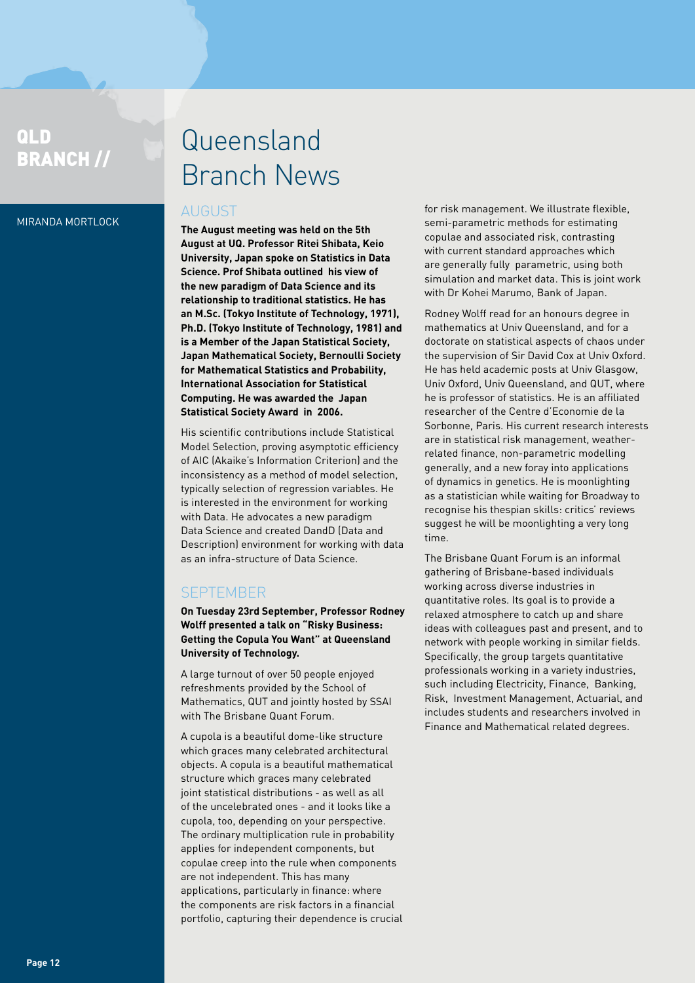### QLD BRANCH //

#### Miranda Mortlock

## Queensland Branch News

### August

**The August meeting was held on the 5th August at UQ. Professor Ritei Shibata, Keio University, Japan spoke on Statistics in Data Science. Prof Shibata outlined his view of the new paradigm of Data Science and its relationship to traditional statistics. He has an M.Sc. (Tokyo Institute of Technology, 1971), Ph.D. (Tokyo Institute of Technology, 1981) and is a Member of the Japan Statistical Society, Japan Mathematical Society, Bernoulli Society for Mathematical Statistics and Probability, International Association for Statistical Computing. He was awarded the Japan Statistical Society Award in 2006.** 

His scientific contributions include Statistical Model Selection, proving asymptotic efficiency of AIC (Akaike's Information Criterion) and the inconsistency as a method of model selection, typically selection of regression variables. He is interested in the environment for working with Data. He advocates a new paradigm Data Science and created DandD (Data and Description) environment for working with data as an infra-structure of Data Science.

### **SEPTEMBER**

**On Tuesday 23rd September, Professor Rodney Wolff presented a talk on "Risky Business: Getting the Copula You Want" at Queensland University of Technology.**

A large turnout of over 50 people enjoyed refreshments provided by the School of Mathematics, QUT and jointly hosted by SSAI with The Brisbane Quant Forum.

A cupola is a beautiful dome-like structure which graces many celebrated architectural objects. A copula is a beautiful mathematical structure which graces many celebrated joint statistical distributions - as well as all of the uncelebrated ones - and it looks like a cupola, too, depending on your perspective. The ordinary multiplication rule in probability applies for independent components, but copulae creep into the rule when components are not independent. This has many applications, particularly in finance: where the components are risk factors in a financial portfolio, capturing their dependence is crucial

for risk management. We illustrate flexible, semi-parametric methods for estimating copulae and associated risk, contrasting with current standard approaches which are generally fully parametric, using both simulation and market data. This is joint work with Dr Kohei Marumo, Bank of Japan.

Rodney Wolff read for an honours degree in mathematics at Univ Queensland, and for a doctorate on statistical aspects of chaos under the supervision of Sir David Cox at Univ Oxford. He has held academic posts at Univ Glasgow, Univ Oxford, Univ Queensland, and QUT, where he is professor of statistics. He is an affiliated researcher of the Centre d'Economie de la Sorbonne, Paris. His current research interests are in statistical risk management, weatherrelated finance, non-parametric modelling generally, and a new foray into applications of dynamics in genetics. He is moonlighting as a statistician while waiting for Broadway to recognise his thespian skills: critics' reviews suggest he will be moonlighting a very long time.

The Brisbane Quant Forum is an informal gathering of Brisbane-based individuals working across diverse industries in quantitative roles. Its goal is to provide a relaxed atmosphere to catch up and share ideas with colleagues past and present, and to network with people working in similar fields. Specifically, the group targets quantitative professionals working in a variety industries, such including Electricity, Finance, Banking, Risk, Investment Management, Actuarial, and includes students and researchers involved in Finance and Mathematical related degrees.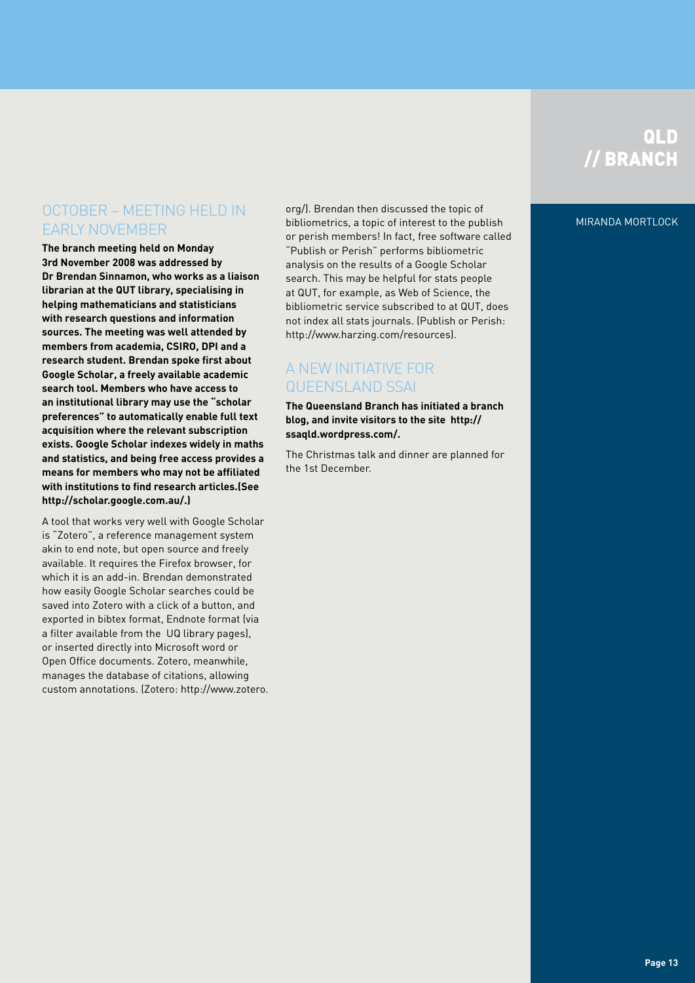## QLD // BRANCH

#### Miranda Mortlock

### October – meeting held in early November

**The branch meeting held on Monday 3rd November 2008 was addressed by Dr Brendan Sinnamon, who works as a liaison librarian at the QUT library, specialising in helping mathematicians and statisticians with research questions and information sources. The meeting was well attended by members from academia, CSIRO, DPI and a research student. Brendan spoke first about Google Scholar, a freely available academic search tool. Members who have access to an institutional library may use the "scholar preferences" to automatically enable full text acquisition where the relevant subscription exists. Google Scholar indexes widely in maths and statistics, and being free access provides a means for members who may not be affiliated with institutions to find research articles.(See http://scholar.google.com.au/.)**

A tool that works very well with Google Scholar is "Zotero", a reference management system akin to end note, but open source and freely available. It requires the Firefox browser, for which it is an add-in. Brendan demonstrated how easily Google Scholar searches could be saved into Zotero with a click of a button, and exported in bibtex format, Endnote format (via a filter available from the UQ library pages), or inserted directly into Microsoft word or Open Office documents. Zotero, meanwhile, manages the database of citations, allowing custom annotations. (Zotero: http://www.zotero. org/). Brendan then discussed the topic of bibliometrics, a topic of interest to the publish or perish members! In fact, free software called "Publish or Perish" performs bibliometric analysis on the results of a Google Scholar search. This may be helpful for stats people at QUT, for example, as Web of Science, the bibliometric service subscribed to at QUT, does not index all stats journals. (Publish or Perish: http://www.harzing.com/resources).

### A New Initiative for Queensland SSAI

**The Queensland Branch has initiated a branch blog, and invite visitors to the site http:// ssaqld.wordpress.com/.**

The Christmas talk and dinner are planned for the 1st December.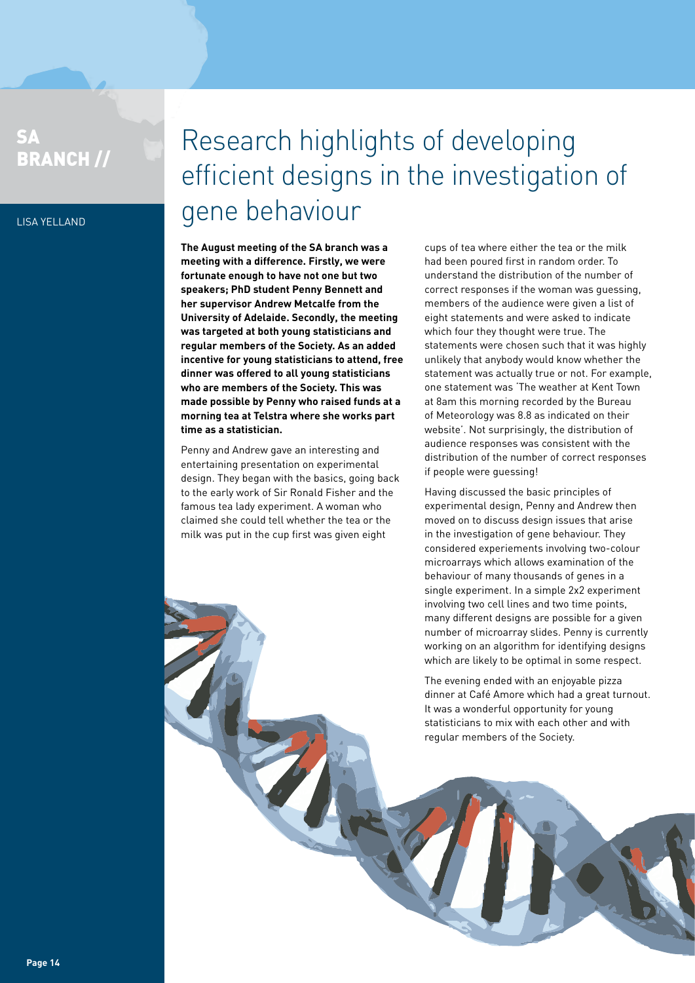### SA BRANCH //

Lisa Yelland

## Research highlights of developing efficient designs in the investigation of gene behaviour

**The August meeting of the SA branch was a meeting with a difference. Firstly, we were fortunate enough to have not one but two speakers; PhD student Penny Bennett and her supervisor Andrew Metcalfe from the University of Adelaide. Secondly, the meeting was targeted at both young statisticians and regular members of the Society. As an added incentive for young statisticians to attend, free dinner was offered to all young statisticians who are members of the Society. This was made possible by Penny who raised funds at a morning tea at Telstra where she works part time as a statistician.**

Penny and Andrew gave an interesting and entertaining presentation on experimental design. They began with the basics, going back to the early work of Sir Ronald Fisher and the famous tea lady experiment. A woman who claimed she could tell whether the tea or the milk was put in the cup first was given eight

cups of tea where either the tea or the milk had been poured first in random order. To understand the distribution of the number of correct responses if the woman was guessing, members of the audience were given a list of eight statements and were asked to indicate which four they thought were true. The statements were chosen such that it was highly unlikely that anybody would know whether the statement was actually true or not. For example, one statement was 'The weather at Kent Town at 8am this morning recorded by the Bureau of Meteorology was 8.8 as indicated on their website'. Not surprisingly, the distribution of audience responses was consistent with the distribution of the number of correct responses if people were guessing!

Having discussed the basic principles of experimental design, Penny and Andrew then moved on to discuss design issues that arise in the investigation of gene behaviour. They considered experiements involving two-colour microarrays which allows examination of the behaviour of many thousands of genes in a single experiment. In a simple 2x2 experiment involving two cell lines and two time points, many different designs are possible for a given number of microarray slides. Penny is currently working on an algorithm for identifying designs which are likely to be optimal in some respect.

The evening ended with an enjoyable pizza dinner at Café Amore which had a great turnout. It was a wonderful opportunity for young statisticians to mix with each other and with regular members of the Society.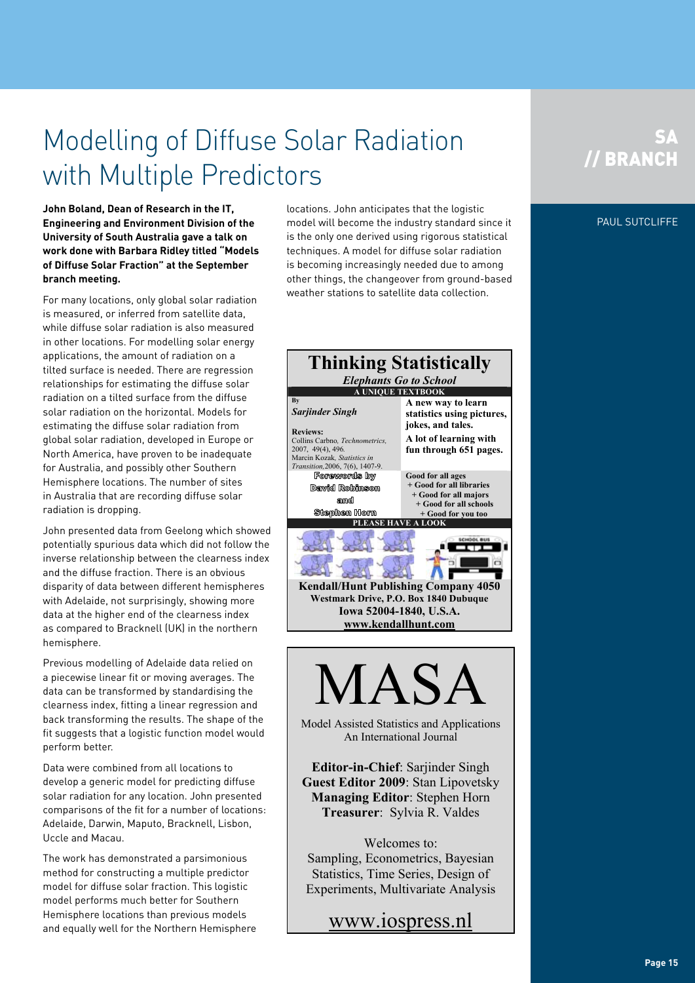## Modelling of Diffuse Solar Radiation with Multiple Predictors

**John Boland, Dean of Research in the IT, Engineering and Environment Division of the University of South Australia gave a talk on work done with Barbara Ridley titled "Models of Diffuse Solar Fraction" at the September branch meeting.**

For many locations, only global solar radiation is measured, or inferred from satellite data, while diffuse solar radiation is also measured in other locations. For modelling solar energy applications, the amount of radiation on a tilted surface is needed. There are regression relationships for estimating the diffuse solar radiation on a tilted surface from the diffuse solar radiation on the horizontal. Models for estimating the diffuse solar radiation from global solar radiation, developed in Europe or North America, have proven to be inadequate for Australia, and possibly other Southern Hemisphere locations. The number of sites in Australia that are recording diffuse solar radiation is dropping.

John presented data from Geelong which showed potentially spurious data which did not follow the inverse relationship between the clearness index and the diffuse fraction. There is an obvious disparity of data between different hemispheres with Adelaide, not surprisingly, showing more data at the higher end of the clearness index as compared to Bracknell (UK) in the northern hemisphere.

Previous modelling of Adelaide data relied on a piecewise linear fit or moving averages. The data can be transformed by standardising the clearness index, fitting a linear regression and back transforming the results. The shape of the fit suggests that a logistic function model would perform better.

Data were combined from all locations to develop a generic model for predicting diffuse solar radiation for any location. John presented comparisons of the fit for a number of locations: Adelaide, Darwin, Maputo, Bracknell, Lisbon, Uccle and Macau.

The work has demonstrated a parsimonious method for constructing a multiple predictor model for diffuse solar fraction. This logistic model performs much better for Southern Hemisphere locations than previous models and equally well for the Northern Hemisphere

locations. John anticipates that the logistic model will become the industry standard since it is the only one derived using rigorous statistical techniques. A model for diffuse solar radiation is becoming increasingly needed due to among other things, the changeover from ground-based weather stations to satellite data collection.





Model Assisted Statistics and Applications An International Journal

**Editor-in-Chief**: Sarjinder Singh **Guest Editor 2009**: Stan Lipovetsky **Managing Editor**: Stephen Horn **Treasurer**: Sylvia R. Valdes

Welcomes to: Sampling, Econometrics, Bayesian Statistics, Time Series, Design of Experiments, Multivariate Analysis

www.iospress.nl

### **SA** // BRANCH

### PAUL SUTCLIFFE